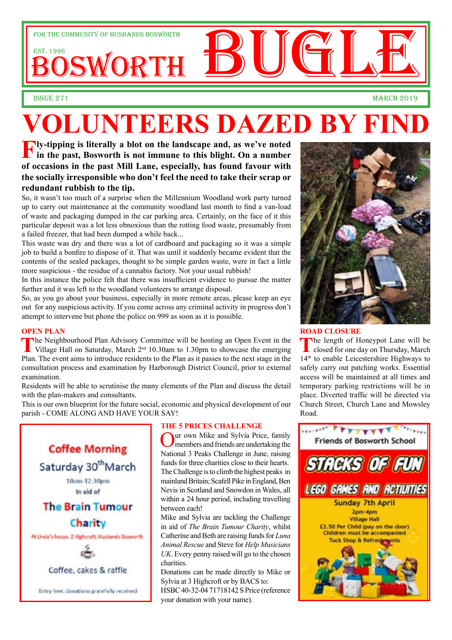

# **VOLUNTEERS DAZED BY FIN**

**Fly-tipping is literally a blot on the landscape and, as we've noted in the past, Bosworth is not immune to this blight. On a number of occasions in the past Mill Lane, especially, has found favour with the socially irresponsible who don't feel the need to take their scrap or redundant rubbish to the tip.**

So, it wasn't too much of a surprise when the Millennium Woodland work party turned up to carry out maintenance at the community woodland last month to find a van-load of waste and packaging dumped in the car parking area. Certainly, on the face of it this particular deposit was a lot less obnoxious than the rotting food waste, presumably from a failed freezer, that had been dumped a while back...

This waste was dry and there was a lot of cardboard and packaging so it was a simple job to build a bonfire to dispose of it. That was until it suddenly became evident that the contents of the sealed packages, thought to be simple garden waste, were in fact a little more suspicious - the residue of a cannabis factory. Not your usual rubbish!

In this instance the police felt that there was insufficient evidence to pursue the matter further and it was left to the woodland volunteers to arrange disposal.

So, as you go about your business, especially in more remote areas, please keep an eye out for any suspicious activity. If you come across any criminal activity in progress don't attempt to intervene but phone the police on 999 as soon as it is possible.

### **OPEN PLAN**

The Neighbourhood Plan Advisory Committee will be hosting an Open Event in the Village Hall on Saturday, March 2<sup>nd</sup> 10.30am to 1.30pm to showcase the emerging Plan. The event aims to introduce residents to the Plan as it passes to the next stage in the consultation process and examination by Harborough District Council, prior to external examination.

Residents will be able to scrutinise the many elements of the Plan and discuss the detail with the plan-makers and consultants.

This is our own blueprint for the future social, economic and physical development of our parish - COME ALONG AND HAVE YOUR SAY!



### **THE 5 PRICES CHALLENGE**

Our own Mike and Sylvia Price, family members and friends are undertaking the National 3 Peaks Challenge in June, raising funds for three charities close to their hearts. The Challenge is to climb the highest peaks in mainland Britain; Scafell Pike in England, Ben Nevis in Scotland and Snowdon in Wales, all within a 24 hour period, including travelling between each!

Mike and Sylvia are tackling the Challenge in aid of *The Brain Tumour Charity*, whilst Catherine and Beth are raising funds for *Luna Animal Rescue* and Steve for *Help Musicians UK*. Every penny raised will go to the chosen charities.

Donations can be made directly to Mike or Sylvia at 3 Highcroft or by BACS to: HSBC 40-32-04 71718142 S Price (reference your donation with your name).



### **ROAD CLOSURE**

**T**he length of Honeypot Lane will be closed for one day on Thursday, March 14th to enable Leicestershire Highways to safely carry out patching works. Essential access will be maintained at all times and temporary parking restrictions will be in place. Diverted traffic will be directed via Church Street, Church Lane and Mowsley Road.

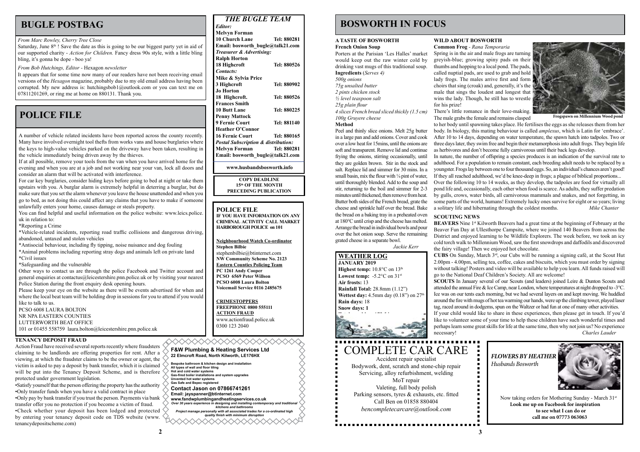## **POLICE FILE**

**3**

### **WILD ABOUT BOSWORTH**

**Common Frog** *- Rana Temporaria*

Spring is in the air and male frogs are turning greyish-blue; growing spiny pads on their thumbs and hopping to a local pond. The pads, called nuptial pads, are used to grab and hold lady frogs. The males arrive first and form choirs that sing (croak) and, generally, it's the male that sings the loudest and longest that wins the lady. Though, he still has to wrestle

for his prize!

There's little romance in their love-making. The male grabs the female and remains clasped

to her body until spawning takes place. He fertilises the eggs as she releases them from her body. In biology, this mating behaviour is called *amplexus*, which is Latin for 'embrace'. After 10 to 14 days, depending on water temperature, the spawn hatch into tadpoles. Two or three days later, they swim free and begin their metamorphosis into adult frogs. They begin life as herbivores and don't become fully carnivorous until their back legs develop.

In nature, the number of offspring a species produces is an indication of the survival rate to adulthood. For a population to remain constant, each breeding adult needs to be replaced by a youngster. Frogs lay between one to four thousand eggs. So, an individual's chances aren't good! If they all reached adulthood, we'd be knee-deep in frogs; a plague of biblical proportions...

### **WEATHER LOG JANUARY 2019 Highest temp:** 10.8°C on 13<sup>th</sup> **Lowest temp:**  $-5.2$ °C on  $31$ <sup>st</sup> **Air frosts:** 13 **Rainfall Total:** 28.8mm (1.12") **Wettest day:** 4.5mm day (0.18") on 27<sup>th</sup> **Rain days:** 18 **Snow days: 1 Total sunshine:** 172.5 hours  *Brian Smith*



Over the following 10 to 14 weeks, as they develop, the tadpoles are food for virtually all pond life and, occasionally, each other when food is scarce. As adults, they suffer predation by gulls, crows, water birds, all carnivorous mammals and snakes, and not forgetting, in some parts of the world, humans! Extremely lucky ones survive for eight or so years; living a solitary life and hibernating through the coldest months. *Mike Chanter* 

Saturday, June  $8<sup>th</sup>$ ! Save the date as this is going to be our biggest party yet in aid of our supported charity - *Action for Children.* Fancy dress 90s style, with a little bling bling, it's gonna be dope - boo ya!

> **COPY DEADLINE 15th OF THE MONTH PRECEDING PUBLICATION**

## *THE BUGLE TEAM*

**Bespoke bathroom & kitchen design and installation All types of wall and floor tiling Hot and cold water systems Gas-fired boiler installations and system upgrades Unvented hot water systems Gas Safe and Bepec registered Contact Jason on 07866741261 Email: jayspanner@btinternet.com www.fandwplumbingandheatingservices.co.uk** *Over 30 years experience in designing and installing contemporary and traditional kitchens and bathrooms Project manage personally with all associated trades for a co-ordinated high quality finish with minimum disruption* 

## **BUGLE POSTBAG BUGLE POSTBAG BOSWORTH IN FOCUS**

| <b>Melvyn Forman</b><br><b>10 Church Lane</b><br>Tel: 880281<br>Email: bosworth bugle@talk21.com<br>Treasurer & Advertising:<br><b>Ralph Horton</b><br>18 Highcroft<br>Tel: 880526<br>Contacts:<br>Mike & Sylvia Price<br>3 Highcroft<br>Tel: 880902<br><b>Jo Horton</b><br>18 Highcroft.<br>Tel: 880526<br><b>Frances Smith</b><br><b>10 Butt Lane</b><br>Tel: 880225<br><b>Penny Mattock</b><br>9 Fernie Court<br>Tel: 881140<br><b>Heather O'Connor</b><br><b>16 Fernie Court</b><br>Tel: 880165<br><b>Postal Subscription &amp; distribution:</b><br><b>Melvyn Forman</b><br>Tel: 880281<br>Email: bosworth bugle@talk21.com | Editor: |  |  |
|----------------------------------------------------------------------------------------------------------------------------------------------------------------------------------------------------------------------------------------------------------------------------------------------------------------------------------------------------------------------------------------------------------------------------------------------------------------------------------------------------------------------------------------------------------------------------------------------------------------------------------|---------|--|--|
|                                                                                                                                                                                                                                                                                                                                                                                                                                                                                                                                                                                                                                  |         |  |  |
|                                                                                                                                                                                                                                                                                                                                                                                                                                                                                                                                                                                                                                  |         |  |  |
|                                                                                                                                                                                                                                                                                                                                                                                                                                                                                                                                                                                                                                  |         |  |  |
|                                                                                                                                                                                                                                                                                                                                                                                                                                                                                                                                                                                                                                  |         |  |  |
|                                                                                                                                                                                                                                                                                                                                                                                                                                                                                                                                                                                                                                  |         |  |  |
|                                                                                                                                                                                                                                                                                                                                                                                                                                                                                                                                                                                                                                  |         |  |  |
|                                                                                                                                                                                                                                                                                                                                                                                                                                                                                                                                                                                                                                  |         |  |  |
|                                                                                                                                                                                                                                                                                                                                                                                                                                                                                                                                                                                                                                  |         |  |  |
|                                                                                                                                                                                                                                                                                                                                                                                                                                                                                                                                                                                                                                  |         |  |  |
|                                                                                                                                                                                                                                                                                                                                                                                                                                                                                                                                                                                                                                  |         |  |  |
|                                                                                                                                                                                                                                                                                                                                                                                                                                                                                                                                                                                                                                  |         |  |  |
|                                                                                                                                                                                                                                                                                                                                                                                                                                                                                                                                                                                                                                  |         |  |  |
|                                                                                                                                                                                                                                                                                                                                                                                                                                                                                                                                                                                                                                  |         |  |  |
|                                                                                                                                                                                                                                                                                                                                                                                                                                                                                                                                                                                                                                  |         |  |  |
|                                                                                                                                                                                                                                                                                                                                                                                                                                                                                                                                                                                                                                  |         |  |  |
|                                                                                                                                                                                                                                                                                                                                                                                                                                                                                                                                                                                                                                  |         |  |  |
|                                                                                                                                                                                                                                                                                                                                                                                                                                                                                                                                                                                                                                  |         |  |  |
|                                                                                                                                                                                                                                                                                                                                                                                                                                                                                                                                                                                                                                  |         |  |  |
|                                                                                                                                                                                                                                                                                                                                                                                                                                                                                                                                                                                                                                  |         |  |  |
|                                                                                                                                                                                                                                                                                                                                                                                                                                                                                                                                                                                                                                  |         |  |  |

**www.husbandsbosworth.info** 

### **POLICE FILE**

**BEAVERS** Nine 1<sup>st</sup> Kilworth Beavers had a great time at the beginning of February at the Beaver Fun Day at Ullesthorpe Campsite, where we joined 140 Beavers from across the District and enjoyed learning to be Wildlife Explorers. The week before, we took an icy cold torch walk to Millennium Wood, saw the first snowdrops and daffodils and discovered the fairy village! Then we enjoyed hot chocolate.

**IF YOU HAVE INFORMATION ON ANY CRIMINAL ACTIVITY CALL MARKET HARBOROUGH POLICE on 101**

**Neighbourhood Watch Co-ordinator Stephen Bilbie**

stephenbilbie@btinternet.com **NW Community Scheme No. 2123 Eastern Counties Policing Team PC 1261 Andy Cooper PCSO 6569 Peter Willson PCSO 6008 Laura Bolton Voicemail Service 0116 2485675**

**CRIMESTOPPERS FREEPHONE 0800 555111 ACTION FRAUD** www.actionfraud.police.uk 0300 123 2040

*From Bob Hutchings, Editor -* Hexagon *newsletter*

It appears that for some time now many of our readers have not been receiving email versions of the *Hexagon* magazine, probably due to my old email address having been corrupted. My new address is: hutchingsbob1@outlook.com or you can text me on 07811201269, or ring me at home on 880131. Thank you.

### *From Marc Rowley, Cherry Tree Close*



### **F&W Plumbing & Heating Services Ltd 22 Elmcroft Road, North Kilworth, LE176HX**

◇◇◇◇◇◇◇◇◇◇◇◇◇◇◇◇



**Frogspawn on Millennium Wood pond**

**SCOUTING NEWS**

**CUBS** On Sunday, March 3rd, our Cubs will be running a signing café, at the Scout Hut 2.00pm - 4.00pm, selling tea, coffee, cakes and biscuits, which you must order by signing without talking! Posters and video will be available to help you learn. All funds raised will go to the National Deaf Children's Society. All are welcome!

**SCOUTS** In January several of our Scouts (and leaders) joined Leire & Dunton Scouts and attended the annual Fire & Ice Camp, near London, where temperatures at night dropped to -3°C. Ice was on our tents each morning, but we had several layers on and kept moving. We huddled around the fire with mugs of hot tea warming our hands, were up the climbing tower, played laser tag, raced around in dodgems, spun on the Waltzer or had fun at one of many other activities.

If your child would like to share in these experiences, then please get in touch. If you'd like to volunteer some of your time to help these children have such wonderful times and perhaps learn some great skills for life at the same time, then why not join us? No experience necessary! *Charles Lauder*

A number of vehicle related incidents have been reported across the county recently. Many have involved overnight tool thefts from works vans and house burglaries where the keys to high-value vehicles parked on the driveway have been taken, resulting in the vehicle immediately being driven away by the thieves.

If at all possible, remove your tools from the van when you have arrived home for the evening and when you are at a job and not working near your van, lock all doors and consider an alarm that will be activated with interference.

For car key burglaries, consider hiding keys before going to bed at night or take them upstairs with you. A burglar alarm is extremely helpful in deterring a burglar, but do make sure that you set the alarm whenever you leave the house unattended and when you go to bed, as not doing this could affect any claims that you have to make if someone unlawfully enters your home, causes damage or steals property.

You can find helpful and useful information on the police website: www.leics.police. uk in relation to:

\*Reporting a Crime

\*Vehicle-related incidents, reporting road traffic collisions and dangerous driving, abandoned, untaxed and stolen vehicles

\*Antisocial behaviour, including fly tipping, noise nuisance and dog fouling

\*Animal problems including reporting stray dogs and animals left on private land \*Civil issues

\*Safeguarding and the vulnerable

Other ways to contact us are through the police Facebook and Twitter account and general enquiries at contactus@leicestershire.pnn.police.uk or by visiting your nearest Police Station during the front enquiry desk opening hours.

Please keep your eye on the website as there will be events advertised for when and where the local beat team will be holding drop in sessions for you to attend if you would like to talk to us.

PCSO 6008 LAURA BOLTON NR NPA EASTERN COUNTIES LUTTERWORTH BEAT OFFICE 101 or 01455 558759 laura.bolton@leicestershire.pnn.police.uk

### **A TASTE OF BOSWORTH French Onion Soup**

Porters at the Parisian 'Les Halles' market would keep out the raw winter cold by drinking vast mugs of this traditional soup. **Ingredients** (*Serves 4) 500g onions 75g unsalted butter 2 pints chicken stock*

*½ level teaspoon salt*

*25g plain flour*

*4 slices French bread sliced thickly (1.5 cm) 100g Gruyere cheese* 

**Method**

Peel and thinly slice onions. Melt 25g butter in a large pan and add onions. Cover and cook over a low heat for 15mins, until the onions are soft and transparent. Remove lid and continue frying the onions, stirring occasionally, until they are golden brown. Stir in the stock and salt. Replace lid and simmer for 30 mins. In a small basin, mix the flour with  $\frac{1}{4}$  pint of water, until thoroughly blended. Add to the soup and stir, returning to the boil and simmer for 2-3 minutes until thickened, then remove from heat. Butter both sides of the French bread, grate the cheese and sprinkle half over the bread. Bake the bread on a baking tray in a preheated oven at 180°C until crisp and the cheese has melted. Arrange the bread in individual bowls and pour over the hot onion soup. Serve the remaining grated cheese in a separate bowl.

 *Jackie Kerr*



### **TENANCY DEPOSIT FRAUD**

Action Fraud have received several reports recently where fraudsters claiming to be landlords are offering properties for rent. After a viewing, at which the fraudster claims to be the owner or agent, the victim is asked to pay a deposit by bank transfer, which it is claimed will be put into the Tenancy Deposit Scheme, and is therefore protected under government legislation.

•Satisfy yourself that the person offering the property has the authority •Only transfer funds when you have a valid contract in place •Only pay by bank transfer if you trust the person. Payments via bank transfer offer you no protection if you become a victim of fraud. •Check whether your deposit has been lodged and protected by entering your tenancy deposit code on TDS website (www. tenancydepositscheme.com)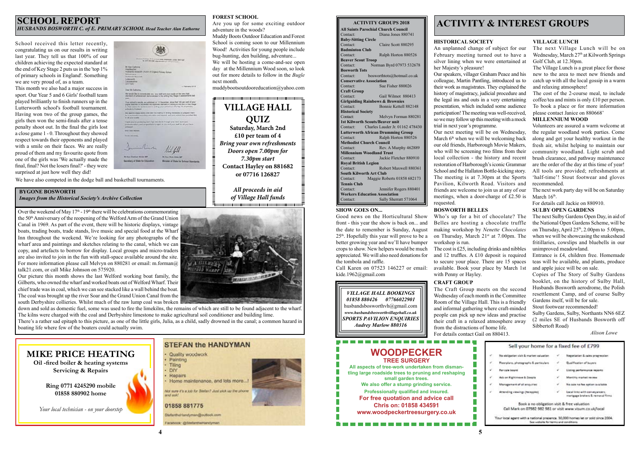**4**

### **BYGONE BOSWORTH** *Images from the Historical Society's Archive Collection*

### **SCHOOL REPORT** *HUSBANDS BOSWORTH C. of E. PRIMARY SCHOOL Head Teacher Alan Eathorne*

**5**

## **ACTIVITY & INTEREST GROUPS**

### **VILLAGE LUNCH**

The next Village Lunch will be on Wednesday, March 27<sup>th</sup> at Kilworth Springs Golf Club, at 12.30pm.

The Village Lunch is a great place for those new to the area to meet new friends and catch up with all the local gossip in a warm and relaxing atmosphere!

The cost of the 2-course meal, to include coffee/tea and mints is only £10 per person. To book a place or for more information please contact Janice on 880668'

### **CRAFT GROUP**

The Craft Group meets on the second Wednesday of each month in the Committee Room of the Village Hall. This is a friendly and informal gathering where craft-minded people can pick up new ideas and practise their craft in a relaxed atmosphere away from the distractions of home life. For details contact Gail on 880413.

### **HISTORICAL SOCIETY**

The next work party day will be on Saturday March  $16<sup>th</sup>$ .

An unplanned change of subject for our February meeting turned out to have a silver lining when we were entertained at her Majesty's pleasure! Our speakers, villager Graham Peace and his colleague, Martin Pantling, introduced us to their work as magistrates. They explained the history of magistracy, judicial procedure and the legal ins and outs in a very entertaining presentation, which included some audience participation! The meeting was well-received, so we may follow up this meeting with a mock trial in next year's programme. Our next meeting will be on Wednesday, March  $6<sup>th</sup>$  when we will be welcoming back our old friends, Harborough Movie Makers, who will be screening two films from their local collection - the history and recent restoration of Harborough's iconic Grammar School and the Hallaton Bottle-kicking story. The meeting is at 7.30pm at the Sports Pavilion, Kilworth Road. Visitors and friends are welcome to join us at any of our meetings, when a door-charge of £2.50 is requested.

### **MILLENNIUM WOOD**

Volunteers are assured a warm welcome at the regular woodland work parties. Come along and get your healthy workout in the fresh air, whilst helping to maintain our community woodland. Light scrub and brush clearance, and pathway maintenance are the order of the day at this time of year! All tools are provided; refreshments at 'half-time'! Stout footwear and gloves recommended.

For details call Jackie on 880910.

### **FOREST SCHOOL**

Are you up for some exciting outdoor adventure in the woods?

Muddy Boots Outdoor Education and Forest School is coming soon to our Millennium Wood! Activities for young people include bug-hunting, den building, adventure... We will be hosting a come-and-see open day at the Millennium Wood soon, so look out for more details to follow in the *Bugle* next month.

muddybootsoutdooreducation@yahoo.com

Over the weekend of May  $17<sup>th</sup>$  -  $19<sup>th</sup>$  there will be celebrations commemorating the 50th Anniversary of the reopening of the Welford Arm of the Grand Union Canal in 1969. As part of the event, there will be historic displays, vintage boats, trading boats, trade stands, live music and special food at the Wharf Inn throughout the weekend. We're looking for any photographs of the wharf area and paintings and sketches relating to the canal, which we can copy, and artefacts to borrow for display. Local groups and micro-traders are also invited to join in the fun with stall-space available around the site. For more information please call Melvyn on 880281 or email: m.forman@ talk21.com, or call Mike Johnson on 575920.

### **ACTIVITY GROUPS 2018 All Saints Parochial Church Council** Diana Jones 880741 **Baby-Sitting Circle** Contact: Claire Scott 880295 **Badminton Club**<br>Contact: Ralph Horton 880526 **Beaver Scout Troop** Contact: Norman Byrd 07973 532678 **Bosworth Tots** bosworthtots@hotmail.co.uk **Conservative Association** Sue Fisher 880026 **Craft Group** Contact: Gail Wilmot 880413 **Girlguiding Rainbows & Brownies** Contact: Bonnie Kettell 882148 **Historical Society** Contact: Melvyn Forman 880281 **1st Kilworth Scouts/Beaver unit** Contact: Charles Lauder Jr. 01162 478430 **Lutterworth African Drumming Group**<br>Contact: Ralph Horton 88052 Ralph Horton 880526 **Methodist Church Council** Contact: Rev. A Murphy 462889 **Millennium Woodland Trust** Contact: Jackie Fletcher 880910 **Royal British Legion** Contact: Robert Maxwell 880361 **South Kilworth Art Club** Contact: Maggie Roberts 01858 682173 **Tennis Club** Contact: Jennifer Rogers 880401 **Workers Education Association**

Contact: Sally Sherratt 571064

### *VILLAGE HALL BOOKINGS 01858 880426 07766022901* husbandsbosworthvh@gmail.com *www.husbandsbosworthvillagehall.co.uk SPORTS PAVILION ENQUIRIES Audrey Marlow 880316*





### **STEFAN the HANDYMAN** Quality woodwork Painting Tiling DIY Repairs Home maintenance, and lots more... Not sure it's a job for Stefan? Just pick up the phone 01858 881775 **DiefantheHandyman@outlook.com**

Facebook: @StefantheHandyman

School received this letter recently, congratulating us on our results in writing last year. They tell us that 100% of our children achieving the expected standard at the end of Key Stage 2 puts us in the 'top 1% of primary schools in England'. Something we are very proud of, as a team.

This month we also had a major success in sport. Our Year 5 and 6 Girls' football team played brilliantly to finish runners up in the Lutterworth school's football tournament. Having won two of the group games, the girls then won the semi-finals after a tense penalty shoot out. In the final the girls lost a close game 1 - 0. Throughout they showed respect towards their opponents and played with a smile on their faces. We are really proud of them and my favourite quote from one of the girls was 'We actually made the final, final? Not the losers final?' - they were surprised at just how well they did!

**COMMERCIAL** 11:11 **Successing of Share for Education** 

Our picture this month shows the last Welford working boat family, the Gilberts, who owned the wharf and worked boats out of Welford Wharf. Their chief trade was in coal, which we can see stacked like a wall behind the boat. The coal was brought up the river Soar and the Grand Union Canal from the south Derbyshire collieries. Whilst much of the raw lump coal was broken

down and sold as domestic fuel, some was used to fire the limekilns, the remains of which are still to be found adjacent to the wharf. The kilns were charged with the coal and Derbyshire limestone to make agricultural soil conditioner and building lime.

There's a rather sad epitaph to this picture, as one of the little girls, Julia, as a child, sadly drowned in the canal; a common hazard in boating life where few of the boaters could actually swim.

We have also competed in the dodge ball and basketball tournaments.

**VILLAGE HALL QUIZ Saturday, March 2nd £10 per team of 4** *Bring your own refreshments Doors open 7.00pm for 7.30pm start* **Contact Hayley on 881682 or 07716 126827** *All proceeds in aid of Village Hall funds*



### **SHOW GOES ON...**

Good news on the Horticultural Show front - this year the show is back on... and the date to remember is Sunday, August 25th. Hopefully this year will prove to be a better growing year and we'll have bumper crops to show. New helpers would be much appreciated. We will also need donations for the tombola and raffle.

Call Karen on 07523 146227 or email: kide.1962@gmail.com

### **BOSWORTH BELLES**

Who's up for a bit of chocolate? The Belles are hosting a chocolate truffle making workshop by *Nenette Chocolates* on Thursday, March 21<sup>st</sup> at 7.00pm. The workshop is run.

The cost is £25, including drinks and nibbles and 12 truffles. A £10 deposit is required to secure your place. There are 15 spaces available. Book your place by March 1st with Penny or Hayley.

### **SULBY OPEN GARDENS**

The next Sulby Gardens Open Day, in aid of the National Open Gardens Scheme, will be on Thursday, April  $25<sup>th</sup>$ , 2.00pm to 5.00pm, when we will be showcasing the snakeshead fritillaries, cowslips and bluebells in our unimproved meadowland.

Entrance is £4, children free. Homemade teas will be available, and plants, produce and apple juice will be on sale.

Copies of The Story of Sulby Gardens booklet, on the history of Sulby Hall, Husbands Bosworth aerodrome, the Polish resettlement Camp, and of course Sulby Gardens itself, will be for sale.

Stout footwear recommended!

Sulby Gardens, Sulby, Northants NN6 6EZ (2 miles SE of Husbands Bosworth off Sibbertoft Road)

*Alison Lowe*

| Y.                          | No obligation visit & market valuation                    |               | Negetiation & sales progression                                     |
|-----------------------------|-----------------------------------------------------------|---------------|---------------------------------------------------------------------|
| é.                          | Floorplans, photographs & particulars.                    | $\mathcal{A}$ | Qualification of buyers                                             |
| ý.                          | Par cale board                                            | -             | Listing performance reports                                         |
| $\mathcal{C}_{\mathcal{C}}$ | Ads on Rightmove & Zoopia                                 | - 4           | Monthly market review                                               |
| v                           | Management of all enquiries                               | v             | No sale no fee aption available                                     |
| $\mathcal{L}$               | Attending ulewings (Ne sppied)                            | $\rightarrow$ | Local links with conveyancers,<br>mertgage brokers & removal firms. |
|                             | Book a no obligation visit & free valuation               |               |                                                                     |
|                             | Call Mark on 07982 982 981 or visit www.visum.co.uk/local |               |                                                                     |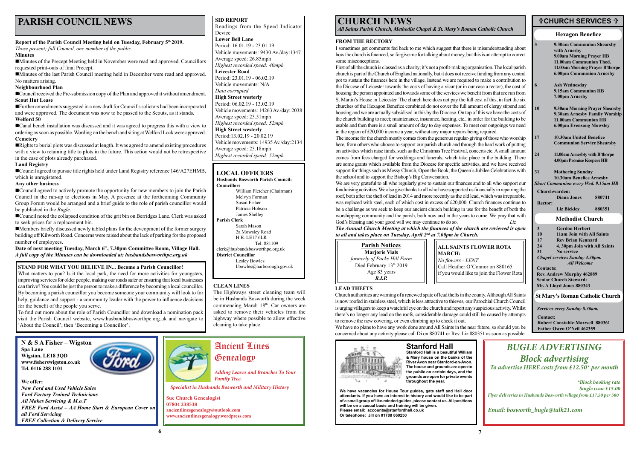## **PARISH COUNCIL NEWS**

### **<del><b>CHURCH SERVICES**</del> **<del>↑</del>**

### **CHURCH NEWS**

*All Saints Parish Church, Methodist Chapel & St. Mary's Roman Catholic Church*

**ALL SAINTS FLOWER ROTA MARCH:** *No flowers - LENT*  Call Heather O'Connor on 880165 if you would like to join the Flower Rota

### **SID REPORT**

Readings from the Speed Indicator Device **Lower Bell Lane** Period: 16.01.19 - 23.01.19 Vehicle movements: 9430 Av./day:1347

Average speed: 26.85mph *Highest recorded speed: 40mph* **Leicester Road**

Period: 23.01.19 - 06.02.19 Vehicle movements: N/A

*Data corrupted*

**High Street westerly**

Period: 06.02.19 - 13.02.19

Vehicle movements: 14263 Av./day: 2038 Average speed: 25.51mph *Highest recorded speed: 52mph* **High Street westerly** Period:13.02.19 - 20.02.19 Vehicle movements: 14935 Av./day:2134 Average speed: 25.18mph *Highest recorded speed: 52mph*

### **Hexagon Benefice**

*Services every Sunday 8.30am.*

**Contact:**

**Robert Constable-Maxwell 880361 Father Owen O'Neil 462359**

**St Mary's Roman Catholic Church**

| $\overline{3}$                                               | 9.30am Communion Shearsby<br>with Arnesby<br>9.00am Morning Prayer HB<br>11.00am Communion Thed.<br>11.00am Morning Prayer B'thorpe<br><b>6.00pm Communion Arnesby</b>               |        |
|--------------------------------------------------------------|--------------------------------------------------------------------------------------------------------------------------------------------------------------------------------------|--------|
| 6                                                            | <b>Ash Wednesday</b><br>9.15am Communion HB<br>7.00pm Arnesby                                                                                                                        |        |
| 10                                                           | 9.30am Morning Prayer Shearsby<br>9.30am Arnesby Family Worship<br>11.00am Communion HB<br><b>6.00pm Evensong Mowsley</b>                                                            |        |
| 17                                                           | 10.30am United Benefice<br><b>Communion Service Shearsby</b>                                                                                                                         |        |
| 24                                                           | 11.00am Arnesbty with B'thorpe<br>4.00pm Promise Keepers HB                                                                                                                          |        |
| 31                                                           | <b>Mothering Sunday</b><br>10.30am Benefice Arnesby<br><b>Short Communion every Wed. 9.15am HB</b>                                                                                   |        |
|                                                              | Churchwarden:                                                                                                                                                                        |        |
|                                                              | Diana Jones                                                                                                                                                                          | 880741 |
| <b>Rector:</b>                                               | <b>Liz Bickley</b>                                                                                                                                                                   | 880351 |
|                                                              | <b>Methodist Church</b>                                                                                                                                                              |        |
| $\overline{\mathbf{3}}$<br>10<br>17<br>$\overline{24}$<br>31 | <b>Gordon Herbert</b><br>11am Join with All Saints<br><b>Rev Brian Kennard</b><br>4. 30pm Join with All Saints<br>No service<br>Chapel services Sunday 4.30pm.<br><b>All Welcome</b> |        |
| <b>Contacts:</b>                                             | <b>Rev. Andrew Murphy 462889</b><br><b>Senior Church Steward:</b><br>Mr. A Lloyd Jones 880343                                                                                        |        |

### **LOCAL OFFICERS**

**Husbands Bosworth Parish Council: Councillors** 

| William Fletcher (Chairman)        |
|------------------------------------|
| Melvyn Forman                      |
| Susan Fisher                       |
| Patricia Hobson                    |
| James Shelley                      |
| <b>Parish Clerk</b>                |
| Sarah Mason                        |
| 2a Mowsley Road                    |
| <b>H.B. LE17 6LR</b>               |
| Tel: 881109                        |
| $clerk@husbands$ bosworthpc.org.uk |
| <b>District Councillor</b>         |
| Lesley Bowles                      |
| l.bowles@harborough.gov.uk         |
|                                    |

**N & S A Fisher – Wigston Spa Lane Wigston, LE18 3QD www.fisherswigston.co.uk Tel. 0116 288 1101**

**We offer:**  *New Ford and Used Vehicle Sales Ford Factory Trained Technicians All Makes Servicing & M.o.T FREE Ford Assist – AA Home Start & European Cover on all Ford Servicing FREE Collection & Delivery Service*



## *BUGLE ADVERTISING Block advertising To advertise HERE costs from £12.50\* per month*

*\*Block booking rate Single issue £15.00 Flyer deliveries in Husbands Bosworth village from £17.50 per 500*

*Email: bosworth\_bugle@talk21.com*

### **FROM THE RECTORY**



I sometimes get comments fed back to me which suggest that there is misunderstanding about how the church is financed, so forgive me for talking about money, but this is an attempt to correct some misconceptions.

■Council received the Pre-submission copy of the Plan and approved it without amendment. **Scout Hut Lease**

■Canal bench installation was discussed and it was agreed to progress this with a view to ordering as soon as possible. Wording on the bench and siting at Welford Lock were approved. **Cemetery**

Rights to burial plots was discussed at length. It was agreed to amend existing procedures with a view to retaining title to plots in the future. This action would not be retrospective in the case of plots already purchased.

■Council agreed to pursue title rights held under Land Registry reference 146/A27EHMB, which is unregistered.

■Council agreed to actively promote the opportunity for new members to join the Parish Council in the run-up to elections in May. A presence at the forthcoming Community Group Forum would be arranged and a brief guide to the role of parish councillor would be published in the *Bugle*.

■Council noted the collapsed condition of the grit bin on Berridges Lane. Clerk was asked to seek prices for a replacement bin.

Date of next meeting Tuesday, March 6<sup>th</sup>, 7.30pm Committee Room, Village Hall. *A full copy of the Minutes can be downloaded at: husbandsbosworthpc.org.uk*

First of all the church is classed as a charity; it's not a profit-making organisation. The local parish church is part of the Church of England nationally, but it does not receive funding from any central pot to sustain the finances here in the village. Instead we are required to make a contribution to the Diocese of Leicester towards the costs of having a vicar (or in our case a rector), the cost of housing the person appointed and towards some of the services we benefit from that are run from St Martin's House in Leicester. The church here does not pay the full cost of this, in fact the six churches of the Hexagon Benefice combined do not cover the full amount of clergy stipend and housing and we are actually subsidised in this by the Diocese. On top of this we have the costs of the church building to meet; maintenance, insurance, heating, etc., in order for the building to be usable and then there is a small amount of day to day expenses. To meet our outgoings we need in the region of £20,000 income a year, without any major repairs being required. The income for the church mostly comes from the generous regular-giving of those who worship here, from others who choose to support our parish church and through the hard work of putting on activities which raise funds, such as the Christmas Tree Festival, concerts etc. A small amount comes from fees charged for weddings and funerals, which take place in the building. There are some grants which available from the Diocese for specific activities, and we have received support for things such as Messy Church, Open the Book, the Queen's Jubilee Celebrations with the school and to support the Bishop's Big Conversation.

What matters to you? Is it the local park, the need for more activities for youngsters, improving services for older people, making our roads safer or ensuring that local businesses can thrive? You could be just the person to make a difference by becoming a local councillor. By becoming a parish councillor you become someone your community will look to for help, guidance and support - a community leader with the power to influence decisions for the benefit of the people you serve.

We are very grateful to all who regularly give to sustain our finances and to all who support our fundraising activities. We also give thanks to all who have supported us financially in repairing the roof, both after the theft of lead in 2014 and more recently as the old lead, which was irreparable, was replaced with steel, each of which cost in excess of £20,000. Church finances continue to be a challenge as we seek to keep our ancient church building in use for the benefit of both the worshipping community and the parish, both now and in the years to come. We pray that with God's blessing and your good will we may continue to do so. *Liz*

We have no plans to have any work done around All Saints in the near future, so should you be concerned about any activity please call Di on 880741 or Rev. Liz 880351 as soon as possible.

*The Annual Church Meeting at which the finances of the church are reviewed is open to all and takes place on Tuesday, April 2nd at 7.00pm in Church.*

### **Report of the Parish Council Meeting held on Tuesday, February 5th 2019.**

*Those present; full Council, one member of the public.*

### **Minutes**

Minutes of the Precept Meeting held in November were read and approved. Councillors requested print-outs of final Precept.

Minutes of the last Parish Council meeting held in December were read and approved. No matters arising.

### **Neighbourhood Plan**

Further amendments suggested in a new draft for Council's solictors had been incorporated and were approved. The document was now to be passed to the Scouts, as it stands. **Welford 50**

### **Land Registry**

### **Any other business**

Members briefly discussed newly tabled plans for the deveopment of the former surgery building off Kilworth Road. Concerns were raised about the lack of parking for the proposed number of employees.

> **Stanford Hall Stanford Hall is a beautiful William & Mary house on the banks of the River Avon near Stanford-on-Avon. The house and grounds are open to the public on certain days, and the**



**We have vacancies for House Tour guides, gate staff and Hall door attendants. If you have an interest in history and would like to be part of a small group of like-minded guides, please contact us. All positions will be on a casual basis and training will be given. Please email: accounts@stanfordhall.co.uk Or telephone: Jill on 01788 860250**



*Adding Leaves and Branches To Your Family Tree.*

**Sue Church Genealogist 07804 238538 ancientlinesgenealogy@outlook.com www.ancientlinesgenalogy.wordpress.com**

*Specialist in Husbands Bosworth and Military History*

### **CLEAN LINES**

The Highways street cleaning team will be in Husbands Bosworth during the week commencing March 18th. Car owners are asked to remove their vehicles from the highway where possible to allow effective cleaning to take place.

### **STAND FOR WHAT YOU BELIEVE IN... Become a Parish Councillor!**

To find out more about the role of Parish Councillor and download a nomination pack visit the Parish Council website, www.husbandsbosworthpc.org.uk and navigate to 'About the Council', then 'Becoming a Councillor'.

### **LEAD THEFTS**

Church authorities are warning of a renewed spate of lead thefts in the county. Although All Saints is now roofed in stainless steel, which is less attractive to thieves, our Parochial Church Council is urging villagers to keep a watchful eye on the church and report any suspicious activity. Whilst there's no longer any lead on the roofs, considerable damage could still be caused by attempts to remove the new covering, or even climbing up to check it out.